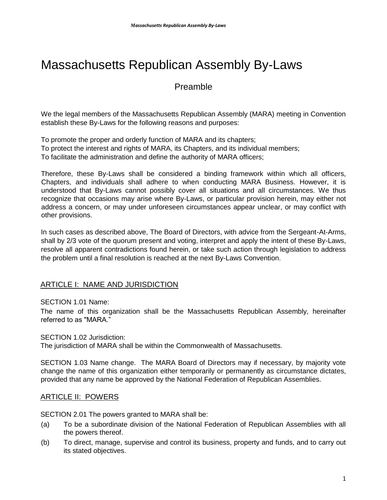# Massachusetts Republican Assembly By-Laws

# Preamble

We the legal members of the Massachusetts Republican Assembly (MARA) meeting in Convention establish these By-Laws for the following reasons and purposes:

To promote the proper and orderly function of MARA and its chapters; To protect the interest and rights of MARA, its Chapters, and its individual members; To facilitate the administration and define the authority of MARA officers;

Therefore, these By-Laws shall be considered a binding framework within which all officers, Chapters, and individuals shall adhere to when conducting MARA Business. However, it is understood that By-Laws cannot possibly cover all situations and all circumstances. We thus recognize that occasions may arise where By-Laws, or particular provision herein, may either not address a concern, or may under unforeseen circumstances appear unclear, or may conflict with other provisions.

In such cases as described above, The Board of Directors, with advice from the Sergeant-At-Arms, shall by 2/3 vote of the quorum present and voting, interpret and apply the intent of these By-Laws, resolve all apparent contradictions found herein, or take such action through legislation to address the problem until a final resolution is reached at the next By-Laws Convention.

# ARTICLE I: NAME AND JURISDICTION

SECTION 1.01 Name:

The name of this organization shall be the Massachusetts Republican Assembly, hereinafter referred to as "MARA."

SECTION 1.02 Jurisdiction:

The jurisdiction of MARA shall be within the Commonwealth of Massachusetts.

SECTION 1.03 Name change. The MARA Board of Directors may if necessary, by majority vote change the name of this organization either temporarily or permanently as circumstance dictates, provided that any name be approved by the National Federation of Republican Assemblies.

## ARTICLE II: POWERS

SECTION 2.01 The powers granted to MARA shall be:

- (a) To be a subordinate division of the National Federation of Republican Assemblies with all the powers thereof.
- (b) To direct, manage, supervise and control its business, property and funds, and to carry out its stated objectives.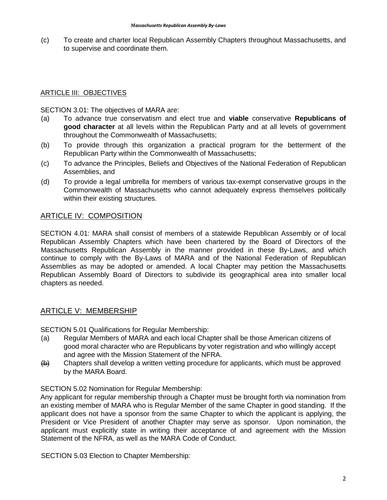(c) To create and charter local Republican Assembly Chapters throughout Massachusetts, and to supervise and coordinate them.

#### ARTICLE III: OBJECTIVES

SECTION 3.01: The objectives of MARA are:

- (a) To advance true conservatism and elect true and **viable** conservative **Republicans of good character** at all levels within the Republican Party and at all levels of government throughout the Commonwealth of Massachusetts;
- (b) To provide through this organization a practical program for the betterment of the Republican Party within the Commonwealth of Massachusetts;
- (c) To advance the Principles, Beliefs and Objectives of the National Federation of Republican Assemblies, and
- (d) To provide a legal umbrella for members of various tax-exempt conservative groups in the Commonwealth of Massachusetts who cannot adequately express themselves politically within their existing structures.

## ARTICLE IV: COMPOSITION

SECTION 4.01: MARA shall consist of members of a statewide Republican Assembly or of local Republican Assembly Chapters which have been chartered by the Board of Directors of the Massachusetts Republican Assembly in the manner provided in these By-Laws, and which continue to comply with the By-Laws of MARA and of the National Federation of Republican Assemblies as may be adopted or amended. A local Chapter may petition the Massachusetts Republican Assembly Board of Directors to subdivide its geographical area into smaller local chapters as needed.

## ARTICLE V: MEMBERSHIP

SECTION 5.01 Qualifications for Regular Membership:

- (a) Regular Members of MARA and each local Chapter shall be those American citizens of good moral character who are Republicans by voter registration and who willingly accept and agree with the Mission Statement of the NFRA.
- $(b)$  Chapters shall develop a written vetting procedure for applicants, which must be approved by the MARA Board.

#### SECTION 5.02 Nomination for Regular Membership:

Any applicant for regular membership through a Chapter must be brought forth via nomination from an existing member of MARA who is Regular Member of the same Chapter in good standing. If the applicant does not have a sponsor from the same Chapter to which the applicant is applying, the President or Vice President of another Chapter may serve as sponsor. Upon nomination, the applicant must explicitly state in writing their acceptance of and agreement with the Mission Statement of the NFRA, as well as the MARA Code of Conduct.

SECTION 5.03 Election to Chapter Membership: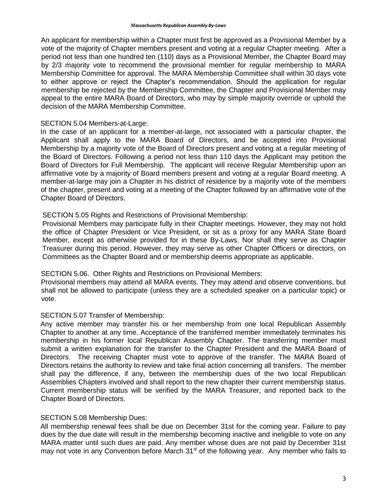An applicant for membership within a Chapter must first be approved as a Provisional Member by a vote of the majority of Chapter members present and voting at a regular Chapter meeting. After a period not less than one hundred ten (110) days as a Provisional Member, the Chapter Board may by 2/3 majority vote to recommend the provisional member for regular membership to MARA Membership Committee for approval. The MARA Membership Committee shall within 30 days vote to either approve or reject the Chapter's recommendation. Should the application for regular membership be rejected by the Membership Committee, the Chapter and Provisional Member may appeal to the entire MARA Board of Directors, who may by simple majority override or uphold the decision of the MARA Membership Committee.

#### SECTION 5.04 Members-at-Large:

In the case of an applicant for a member-at-large, not associated with a particular chapter, the Applicant shall apply to the MARA Board of Directors, and be accepted into Provisional Membership by a majority vote of the Board of Directors present and voting at a regular meeting of the Board of Directors. Following a period not less than 110 days the Applicant may petition the Board of Directors for Full Membership. The applicant will receive Regular Membership upon an affirmative vote by a majority of Board members present and voting at a regular Board meeting. A member-at-large may join a Chapter in his district of residence by a majority vote of the members of the chapter, present and voting at a meeting of the Chapter followed by an affirmative vote of the Chapter Board of Directors.

## SECTION 5.05 Rights and Restrictions of Provisional Membership:

Provisional Members may participate fully in their Chapter meetings. However, they may not hold the office of Chapter President or Vice President, or sit as a proxy for any MARA State Board Member, except as otherwise provided for in these By-Laws. Nor shall they serve as Chapter Treasurer during this period. However, they may serve as other Chapter Officers or directors, on Committees as the Chapter Board and or membership deems appropriate as applicable.

#### SECTION 5.06. Other Rights and Restrictions on Provisional Members:

Provisional members may attend all MARA events. They may attend and observe conventions, but shall not be allowed to participate (unless they are a scheduled speaker on a particular topic) or vote.

## SECTION 5.07 Transfer of Membership:

Any active member may transfer his or her membership from one local Republican Assembly Chapter to another at any time. Acceptance of the transferred member immediately terminates his membership in his former local Republican Assembly Chapter. The transferring member must submit a written explanation for the transfer to the Chapter President and the MARA Board of Directors. The receiving Chapter must vote to approve of the transfer. The MARA Board of Directors retains the authority to review and take final action concerning all transfers. The member shall pay the difference, if any, between the membership dues of the two local Republican Assemblies Chapters involved and shall report to the new chapter their current membership status. Current membership status will be verified by the MARA Treasurer, and reported back to the Chapter Board of Directors.

#### SECTION 5.08 Membership Dues:

All membership renewal fees shall be due on December 31st for the coming year. Failure to pay dues by the due date will result in the membership becoming inactive and ineligible to vote on any MARA matter until such dues are paid. Any member whose dues are not paid by December 31st may not vote in any Convention before March  $31<sup>st</sup>$  of the following year. Any member who fails to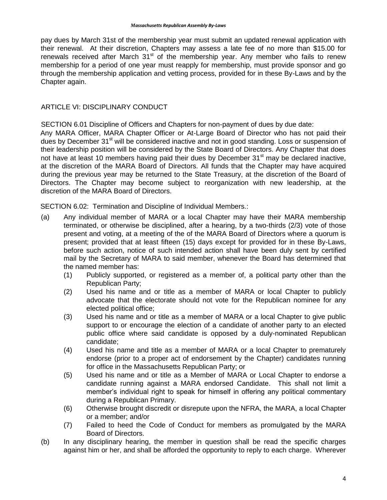pay dues by March 31st of the membership year must submit an updated renewal application with their renewal. At their discretion, Chapters may assess a late fee of no more than \$15.00 for renewals received after March  $31<sup>st</sup>$  of the membership year. Any member who fails to renew membership for a period of one year must reapply for membership, must provide sponsor and go through the membership application and vetting process, provided for in these By-Laws and by the Chapter again.

## ARTICLE VI: DISCIPLINARY CONDUCT

SECTION 6.01 Discipline of Officers and Chapters for non-payment of dues by due date:

Any MARA Officer, MARA Chapter Officer or At-Large Board of Director who has not paid their dues by December 31<sup>st</sup> will be considered inactive and not in good standing. Loss or suspension of their leadership position will be considered by the State Board of Directors. Any Chapter that does not have at least 10 members having paid their dues by December 31<sup>st</sup> may be declared inactive, at the discretion of the MARA Board of Directors. All funds that the Chapter may have acquired during the previous year may be returned to the State Treasury, at the discretion of the Board of Directors. The Chapter may become subject to reorganization with new leadership, at the discretion of the MARA Board of Directors.

SECTION 6.02: Termination and Discipline of Individual Members.:

- (a) Any individual member of MARA or a local Chapter may have their MARA membership terminated, or otherwise be disciplined, after a hearing, by a two-thirds (2/3) vote of those present and voting, at a meeting of the of the MARA Board of Directors where a quorum is present; provided that at least fifteen (15) days except for provided for in these By-Laws, before such action, notice of such intended action shall have been duly sent by certified mail by the Secretary of MARA to said member, whenever the Board has determined that the named member has:
	- (1) Publicly supported, or registered as a member of, a political party other than the Republican Party;
	- (2) Used his name and or title as a member of MARA or local Chapter to publicly advocate that the electorate should not vote for the Republican nominee for any elected political office;
	- (3) Used his name and or title as a member of MARA or a local Chapter to give public support to or encourage the election of a candidate of another party to an elected public office where said candidate is opposed by a duly-nominated Republican candidate;
	- (4) Used his name and title as a member of MARA or a local Chapter to prematurely endorse (prior to a proper act of endorsement by the Chapter) candidates running for office in the Massachusetts Republican Party; or
	- (5) Used his name and or title as a Member of MARA or Local Chapter to endorse a candidate running against a MARA endorsed Candidate. This shall not limit a member's individual right to speak for himself in offering any political commentary during a Republican Primary.
	- (6) Otherwise brought discredit or disrepute upon the NFRA, the MARA, a local Chapter or a member; and/or
	- (7) Failed to heed the Code of Conduct for members as promulgated by the MARA Board of Directors.
- (b) In any disciplinary hearing, the member in question shall be read the specific charges against him or her, and shall be afforded the opportunity to reply to each charge. Wherever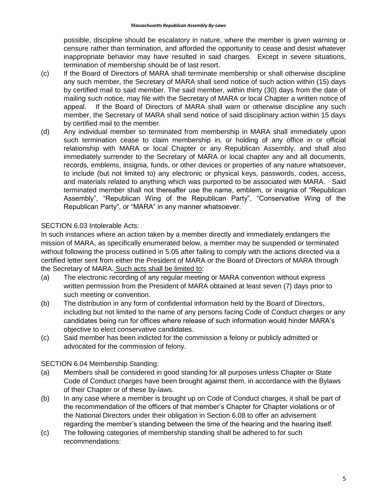possible, discipline should be escalatory in nature, where the member is given warning or censure rather than termination, and afforded the opportunity to cease and desist whatever inappropriate behavior may have resulted in said charges. Except in severe situations, termination of membership should be of last resort.

- (c) If the Board of Directors of MARA shall terminate membership or shall otherwise discipline any such member, the Secretary of MARA shall send notice of such action within (15) days by certified mail to said member. The said member, within thirty (30) days from the date of mailing such notice, may file with the Secretary of MARA or local Chapter a written notice of appeal. If the Board of Directors of MARA shall warn or otherwise discipline any such member, the Secretary of MARA shall send notice of said disciplinary action within 15 days by certified mail to the member.
- (d) Any individual member so terminated from membership in MARA shall immediately upon such termination cease to claim membership in, or holding of any office in or official relationship with MARA or local Chapter or any Republican Assembly, and shall also immediately surrender to the Secretary of MARA or local chapter any and all documents, records, emblems, insignia, funds, or other devices or properties of any nature whatsoever, to include (but not limited to) any electronic or physical keys, passwords, codes, access, and materials related to anything which was purported to be associated with MARA. Said terminated member shall not thereafter use the name, emblem, or insignia of "Republican Assembly", "Republican Wing of the Republican Party", "Conservative Wing of the Republican Party", or "MARA" in any manner whatsoever.

## SECTION 6.03 Intolerable Acts:

In such instances where an action taken by a member directly and immediately endangers the mission of MARA, as specifically enumerated below, a member may be suspended or terminated without following the process outlined in 5.05 after failing to comply with the actions directed via a certified letter sent from either the President of MARA or the Board of Directors of MARA through the Secretary of MARA. Such acts shall be limited to:

- (a) The electronic recording of any regular meeting or MARA convention without express written permission from the President of MARA obtained at least seven (7) days prior to such meeting or convention.
- (b) The distribution in any form of confidential information held by the Board of Directors, including but not limited to the name of any persons facing Code of Conduct charges or any candidates being run for offices where release of such information would hinder MARA's objective to elect conservative candidates.
- (c) Said member has been indicted for the commission a felony or publicly admitted or advocated for the commission of felony.

SECTION 6.04 Membership Standing:

- (a) Members shall be considered in good standing for all purposes unless Chapter or State Code of Conduct charges have been brought against them, in accordance with the Bylaws of their Chapter or of these by-laws.
- (b) In any case where a member is brought up on Code of Conduct charges, it shall be part of the recommendation of the officers of that member's Chapter for Chapter violations or of the National Directors under their obligation in Section 6.08 to offer an advisement regarding the member's standing between the time of the hearing and the hearing itself.
- (c) The following categories of membership standing shall be adhered to for such recommendations: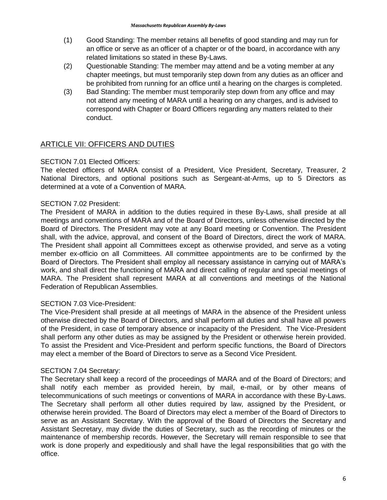- (1) Good Standing: The member retains all benefits of good standing and may run for an office or serve as an officer of a chapter or of the board, in accordance with any related limitations so stated in these By-Laws.
- (2) Questionable Standing: The member may attend and be a voting member at any chapter meetings, but must temporarily step down from any duties as an officer and be prohibited from running for an office until a hearing on the charges is completed.
- (3) Bad Standing: The member must temporarily step down from any office and may not attend any meeting of MARA until a hearing on any charges, and is advised to correspond with Chapter or Board Officers regarding any matters related to their conduct.

## **ARTICLE VII: OFFICERS AND DUTIES**

#### SECTION 7.01 Elected Officers:

The elected officers of MARA consist of a President, Vice President, Secretary, Treasurer, 2 National Directors, and optional positions such as Sergeant-at-Arms, up to 5 Directors as determined at a vote of a Convention of MARA.

## SECTION 7.02 President:

The President of MARA in addition to the duties required in these By-Laws, shall preside at all meetings and conventions of MARA and of the Board of Directors, unless otherwise directed by the Board of Directors. The President may vote at any Board meeting or Convention. The President shall, with the advice, approval, and consent of the Board of Directors, direct the work of MARA. The President shall appoint all Committees except as otherwise provided, and serve as a voting member ex-officio on all Committees. All committee appointments are to be confirmed by the Board of Directors. The President shall employ all necessary assistance in carrying out of MARA's work, and shall direct the functioning of MARA and direct calling of regular and special meetings of MARA. The President shall represent MARA at all conventions and meetings of the National Federation of Republican Assemblies.

#### SECTION 7.03 Vice-President:

The Vice-President shall preside at all meetings of MARA in the absence of the President unless otherwise directed by the Board of Directors, and shall perform all duties and shall have all powers of the President, in case of temporary absence or incapacity of the President. The Vice-President shall perform any other duties as may be assigned by the President or otherwise herein provided. To assist the President and Vice-President and perform specific functions, the Board of Directors may elect a member of the Board of Directors to serve as a Second Vice President.

#### SECTION 7.04 Secretary:

The Secretary shall keep a record of the proceedings of MARA and of the Board of Directors; and shall notify each member as provided herein, by mail, e-mail, or by other means of telecommunications of such meetings or conventions of MARA in accordance with these By-Laws. The Secretary shall perform all other duties required by law, assigned by the President, or otherwise herein provided. The Board of Directors may elect a member of the Board of Directors to serve as an Assistant Secretary. With the approval of the Board of Directors the Secretary and Assistant Secretary, may divide the duties of Secretary, such as the recording of minutes or the maintenance of membership records. However, the Secretary will remain responsible to see that work is done properly and expeditiously and shall have the legal responsibilities that go with the office.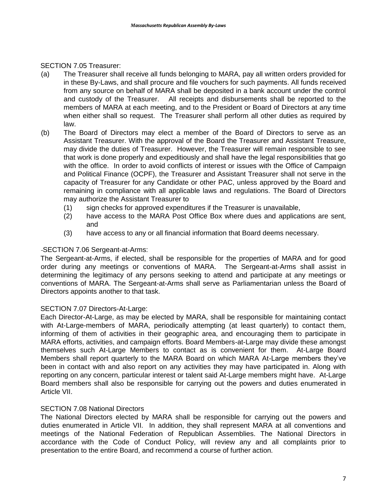SECTION 7.05 Treasurer:

- (a) The Treasurer shall receive all funds belonging to MARA, pay all written orders provided for in these By-Laws, and shall procure and file vouchers for such payments. All funds received from any source on behalf of MARA shall be deposited in a bank account under the control and custody of the Treasurer. All receipts and disbursements shall be reported to the members of MARA at each meeting, and to the President or Board of Directors at any time when either shall so request. The Treasurer shall perform all other duties as required by law.
- (b) The Board of Directors may elect a member of the Board of Directors to serve as an Assistant Treasurer. With the approval of the Board the Treasurer and Assistant Treasure, may divide the duties of Treasurer. However, the Treasurer will remain responsible to see that work is done properly and expeditiously and shall have the legal responsibilities that go with the office. In order to avoid conflicts of interest or issues with the Office of Campaign and Political Finance (OCPF), the Treasurer and Assistant Treasurer shall not serve in the capacity of Treasurer for any Candidate or other PAC, unless approved by the Board and remaining in compliance with all applicable laws and regulations. The Board of Directors may authorize the Assistant Treasurer to
	- (1) sign checks for approved expenditures if the Treasurer is unavailable,
	- (2) have access to the MARA Post Office Box where dues and applications are sent, and
	- (3) have access to any or all financial information that Board deems necessary.

#### SECTION 7.06 Sergeant-at-Arms:

The Sergeant-at-Arms, if elected, shall be responsible for the properties of MARA and for good order during any meetings or conventions of MARA. The Sergeant-at-Arms shall assist in determining the legitimacy of any persons seeking to attend and participate at any meetings or conventions of MARA. The Sergeant-at-Arms shall serve as Parliamentarian unless the Board of Directors appoints another to that task.

#### SECTION 7.07 Directors-At-Large:

Each Director-At-Large, as may be elected by MARA, shall be responsible for maintaining contact with At-Large-members of MARA, periodically attempting (at least quarterly) to contact them, informing of them of activities in their geographic area, and encouraging them to participate in MARA efforts, activities, and campaign efforts. Board Members-at-Large may divide these amongst themselves such At-Large Members to contact as is convenient for them. At-Large Board Members shall report quarterly to the MARA Board on which MARA At-Large members they've been in contact with and also report on any activities they may have participated in. Along with reporting on any concern, particular interest or talent said At-Large members might have. At-Large Board members shall also be responsible for carrying out the powers and duties enumerated in Article VII.

#### SECTION 7.08 National Directors

The National Directors elected by MARA shall be responsible for carrying out the powers and duties enumerated in Article VII. In addition, they shall represent MARA at all conventions and meetings of the National Federation of Republican Assemblies. The National Directors in accordance with the Code of Conduct Policy, will review any and all complaints prior to presentation to the entire Board, and recommend a course of further action.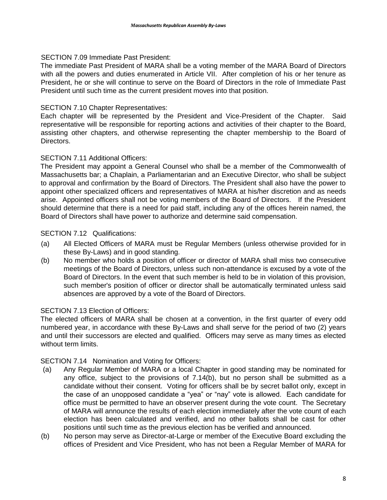#### SECTION 7.09 Immediate Past President:

The immediate Past President of MARA shall be a voting member of the MARA Board of Directors with all the powers and duties enumerated in Article VII. After completion of his or her tenure as President, he or she will continue to serve on the Board of Directors in the role of Immediate Past President until such time as the current president moves into that position.

## SECTION 7.10 Chapter Representatives:

Each chapter will be represented by the President and Vice-President of the Chapter. Said representative will be responsible for reporting actions and activities of their chapter to the Board, assisting other chapters, and otherwise representing the chapter membership to the Board of Directors.

## SECTION 7.11 Additional Officers:

The President may appoint a General Counsel who shall be a member of the Commonwealth of Massachusetts bar; a Chaplain, a Parliamentarian and an Executive Director, who shall be subject to approval and confirmation by the Board of Directors. The President shall also have the power to appoint other specialized officers and representatives of MARA at his/her discretion and as needs arise. Appointed officers shall not be voting members of the Board of Directors. If the President should determine that there is a need for paid staff, including any of the offices herein named, the Board of Directors shall have power to authorize and determine said compensation.

## SECTION 7.12 Qualifications:

- (a) All Elected Officers of MARA must be Regular Members (unless otherwise provided for in these By-Laws) and in good standing.
- (b) No member who holds a position of officer or director of MARA shall miss two consecutive meetings of the Board of Directors, unless such non-attendance is excused by a vote of the Board of Directors. In the event that such member is held to be in violation of this provision, such member's position of officer or director shall be automatically terminated unless said absences are approved by a vote of the Board of Directors.

#### SECTION 7.13 Election of Officers:

The elected officers of MARA shall be chosen at a convention, in the first quarter of every odd numbered year, in accordance with these By-Laws and shall serve for the period of two (2) years and until their successors are elected and qualified. Officers may serve as many times as elected without term limits.

#### SECTION 7.14 Nomination and Voting for Officers:

- (a) Any Regular Member of MARA or a local Chapter in good standing may be nominated for any office, subject to the provisions of 7.14(b), but no person shall be submitted as a candidate without their consent. Voting for officers shall be by secret ballot only, except in the case of an unopposed candidate a "yea" or "nay" vote is allowed. Each candidate for office must be permitted to have an observer present during the vote count. The Secretary of MARA will announce the results of each election immediately after the vote count of each election has been calculated and verified, and no other ballots shall be cast for other positions until such time as the previous election has be verified and announced.
- (b) No person may serve as Director-at-Large or member of the Executive Board excluding the offices of President and Vice President, who has not been a Regular Member of MARA for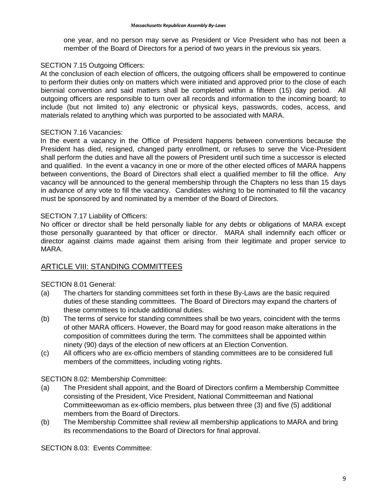one year, and no person may serve as President or Vice President who has not been a member of the Board of Directors for a period of two years in the previous six years.

#### SECTION 7.15 Outgoing Officers:

At the conclusion of each election of officers, the outgoing officers shall be empowered to continue to perform their duties only on matters which were initiated and approved prior to the close of each biennial convention and said matters shall be completed within a fifteen (15) day period. All outgoing officers are responsible to turn over all records and information to the incoming board; to include (but not limited to) any electronic or physical keys, passwords, codes, access, and materials related to anything which was purported to be associated with MARA.

## SECTION 7.16 Vacancies:

In the event a vacancy in the Office of President happens between conventions because the President has died, resigned, changed party enrollment, or refuses to serve the Vice-President shall perform the duties and have all the powers of President until such time a successor is elected and qualified. In the event a vacancy in one or more of the other elected offices of MARA happens between conventions, the Board of Directors shall elect a qualified member to fill the office. Any vacancy will be announced to the general membership through the Chapters no less than 15 days in advance of any vote to fill the vacancy. Candidates wishing to be nominated to fill the vacancy must be sponsored by and nominated by a member of the Board of Directors.

## SECTION 7.17 Liability of Officers:

No officer or director shall be held personally liable for any debts or obligations of MARA except those personally guaranteed by that officer or director. MARA shall indemnify each officer or director against claims made against them arising from their legitimate and proper service to MARA.

## ARTICLE VIII: STANDING COMMITTEES

## SECTION 8.01 General:

- (a) The charters for standing committees set forth in these By-Laws are the basic required duties of these standing committees. The Board of Directors may expand the charters of these committees to include additional duties.
- (b) The terms of service for standing committees shall be two years, coincident with the terms of other MARA officers. However, the Board may for good reason make alterations in the composition of committees during the term. The committees shall be appointed within ninety (90) days of the election of new officers at an Election Convention.
- (c) All officers who are ex-officio members of standing committees are to be considered full members of the committees, including voting rights.

#### SECTION 8.02: Membership Committee:

- (a) The President shall appoint, and the Board of Directors confirm a Membership Committee consisting of the President, Vice President, National Committeeman and National Committeewoman as ex-officio members, plus between three (3) and five (5) additional members from the Board of Directors.
- (b) The Membership Committee shall review all membership applications to MARA and bring its recommendations to the Board of Directors for final approval.

SECTION 8.03: Events Committee: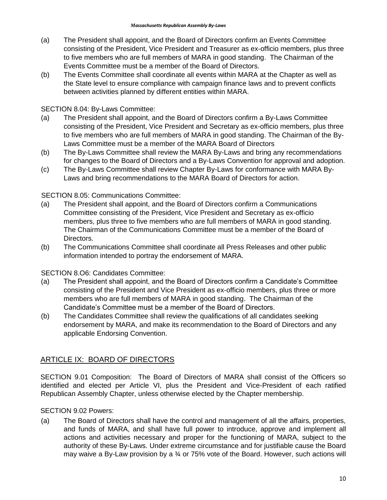- (a) The President shall appoint, and the Board of Directors confirm an Events Committee consisting of the President, Vice President and Treasurer as ex-officio members, plus three to five members who are full members of MARA in good standing. The Chairman of the Events Committee must be a member of the Board of Directors.
- (b) The Events Committee shall coordinate all events within MARA at the Chapter as well as the State level to ensure compliance with campaign finance laws and to prevent conflicts between activities planned by different entities within MARA.

## SECTION 8.04: By-Laws Committee:

- (a) The President shall appoint, and the Board of Directors confirm a By-Laws Committee consisting of the President, Vice President and Secretary as ex-officio members, plus three to five members who are full members of MARA in good standing. The Chairman of the By-Laws Committee must be a member of the MARA Board of Directors
- (b) The By-Laws Committee shall review the MARA By-Laws and bring any recommendations for changes to the Board of Directors and a By-Laws Convention for approval and adoption.
- (c) The By-Laws Committee shall review Chapter By-Laws for conformance with MARA By-Laws and bring recommendations to the MARA Board of Directors for action.

## SECTION 8.05: Communications Committee:

- (a) The President shall appoint, and the Board of Directors confirm a Communications Committee consisting of the President, Vice President and Secretary as ex-officio members, plus three to five members who are full members of MARA in good standing. The Chairman of the Communications Committee must be a member of the Board of Directors.
- (b) The Communications Committee shall coordinate all Press Releases and other public information intended to portray the endorsement of MARA.

## SECTION 8.O6: Candidates Committee:

- (a) The President shall appoint, and the Board of Directors confirm a Candidate's Committee consisting of the President and Vice President as ex-officio members, plus three or more members who are full members of MARA in good standing. The Chairman of the Candidate's Committee must be a member of the Board of Directors.
- (b) The Candidates Committee shall review the qualifications of all candidates seeking endorsement by MARA, and make its recommendation to the Board of Directors and any applicable Endorsing Convention.

## ARTICLE IX: BOARD OF DIRECTORS

SECTION 9.01 Composition: The Board of Directors of MARA shall consist of the Officers so identified and elected per Article VI, plus the President and Vice-President of each ratified Republican Assembly Chapter, unless otherwise elected by the Chapter membership.

## SECTION 9.02 Powers:

(a) The Board of Directors shall have the control and management of all the affairs, properties, and funds of MARA, and shall have full power to introduce, approve and implement all actions and activities necessary and proper for the functioning of MARA, subject to the authority of these By-Laws. Under extreme circumstance and for justifiable cause the Board may waive a By-Law provision by a 34 or 75% vote of the Board. However, such actions will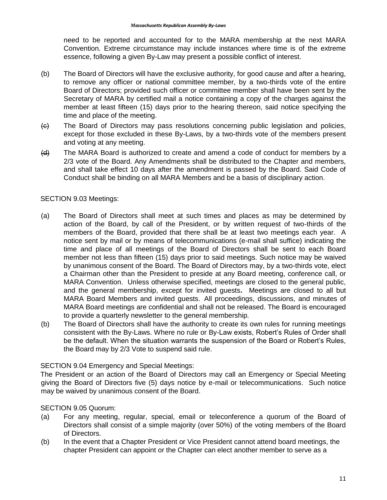need to be reported and accounted for to the MARA membership at the next MARA Convention. Extreme circumstance may include instances where time is of the extreme essence, following a given By-Law may present a possible conflict of interest.

- (b) The Board of Directors will have the exclusive authority, for good cause and after a hearing, to remove any officer or national committee member, by a two-thirds vote of the entire Board of Directors; provided such officer or committee member shall have been sent by the Secretary of MARA by certified mail a notice containing a copy of the charges against the member at least fifteen (15) days prior to the hearing thereon, said notice specifying the time and place of the meeting.
- $\left\langle \epsilon \right\rangle$  The Board of Directors may pass resolutions concerning public legislation and policies, except for those excluded in these By-Laws, by a two-thirds vote of the members present and voting at any meeting.
- (d) The MARA Board is authorized to create and amend a code of conduct for members by a 2/3 vote of the Board. Any Amendments shall be distributed to the Chapter and members, and shall take effect 10 days after the amendment is passed by the Board. Said Code of Conduct shall be binding on all MARA Members and be a basis of disciplinary action.

## SECTION 9.03 Meetings:

- (a) The Board of Directors shall meet at such times and places as may be determined by action of the Board, by call of the President, or by written request of two-thirds of the members of the Board, provided that there shall be at least two meetings each year. A notice sent by mail or by means of telecommunications (e-mail shall suffice) indicating the time and place of all meetings of the Board of Directors shall be sent to each Board member not less than fifteen (15) days prior to said meetings. Such notice may be waived by unanimous consent of the Board. The Board of Directors may, by a two-thirds vote, elect a Chairman other than the President to preside at any Board meeting, conference call, or MARA Convention. Unless otherwise specified, meetings are closed to the general public, and the general membership, except for invited guests**.** Meetings are closed to all but MARA Board Members and invited guests. All proceedings, discussions, and minutes of MARA Board meetings are confidential and shall not be released. The Board is encouraged to provide a quarterly newsletter to the general membership.
- (b) The Board of Directors shall have the authority to create its own rules for running meetings consistent with the By-Laws. Where no rule or By-Law exists, Robert's Rules of Order shall be the default. When the situation warrants the suspension of the Board or Robert's Rules, the Board may by 2/3 Vote to suspend said rule.

#### SECTION 9.04 Emergency and Special Meetings:

The President or an action of the Board of Directors may call an Emergency or Special Meeting giving the Board of Directors five (5) days notice by e-mail or telecommunications. Such notice may be waived by unanimous consent of the Board.

#### SECTION 9.05 Quorum:

- (a) For any meeting, regular, special, email or teleconference a quorum of the Board of Directors shall consist of a simple majority (over 50%) of the voting members of the Board of Directors.
- (b) In the event that a Chapter President or Vice President cannot attend board meetings, the chapter President can appoint or the Chapter can elect another member to serve as a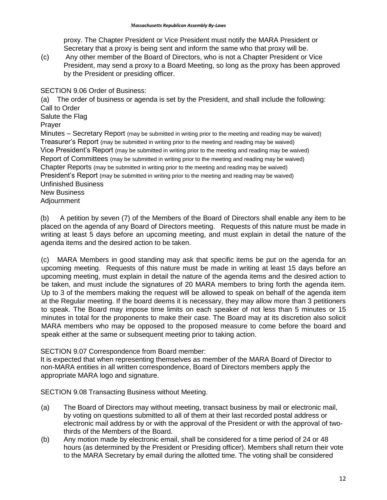proxy. The Chapter President or Vice President must notify the MARA President or Secretary that a proxy is being sent and inform the same who that proxy will be.

(c) Any other member of the Board of Directors, who is not a Chapter President or Vice President, may send a proxy to a Board Meeting, so long as the proxy has been approved by the President or presiding officer.

SECTION 9.06 Order of Business:

(a) The order of business or agenda is set by the President, and shall include the following: Call to Order Salute the Flag Prayer Minutes – Secretary Report (may be submitted in writing prior to the meeting and reading may be waived) Treasurer's Report (may be submitted in writing prior to the meeting and reading may be waived) Vice President's Report (may be submitted in writing prior to the meeting and reading may be waived) Report of Committees (may be submitted in writing prior to the meeting and reading may be waived) Chapter Reports (may be submitted in writing prior to the meeting and reading may be waived) President's Report (may be submitted in writing prior to the meeting and reading may be waived) Unfinished Business New Business Adjournment

(b) A petition by seven (7) of the Members of the Board of Directors shall enable any item to be placed on the agenda of any Board of Directors meeting. Requests of this nature must be made in writing at least 5 days before an upcoming meeting, and must explain in detail the nature of the agenda items and the desired action to be taken.

(c) MARA Members in good standing may ask that specific items be put on the agenda for an upcoming meeting. Requests of this nature must be made in writing at least 15 days before an upcoming meeting, must explain in detail the nature of the agenda items and the desired action to be taken, and must include the signatures of 20 MARA members to bring forth the agenda item. Up to 3 of the members making the request will be allowed to speak on behalf of the agenda item at the Regular meeting. If the board deems it is necessary, they may allow more than 3 petitioners to speak. The Board may impose time limits on each speaker of not less than 5 minutes or 15 minutes in total for the proponents to make their case. The Board may at its discretion also solicit MARA members who may be opposed to the proposed measure to come before the board and speak either at the same or subsequent meeting prior to taking action.

#### SECTION 9.07 Correspondence from Board member:

It is expected that when representing themselves as member of the MARA Board of Director to non-MARA entities in all written correspondence, Board of Directors members apply the appropriate MARA logo and signature.

SECTION 9.08 Transacting Business without Meeting.

- (a) The Board of Directors may without meeting, transact business by mail or electronic mail, by voting on questions submitted to all of them at their last recorded postal address or electronic mail address by or with the approval of the President or with the approval of twothirds of the Members of the Board.
- (b) Any motion made by electronic email, shall be considered for a time period of 24 or 48 hours (as determined by the President or Presiding officer). Members shall return their vote to the MARA Secretary by email during the allotted time. The voting shall be considered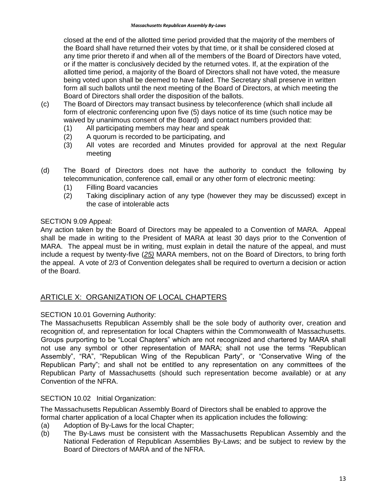closed at the end of the allotted time period provided that the majority of the members of the Board shall have returned their votes by that time, or it shall be considered closed at any time prior thereto if and when all of the members of the Board of Directors have voted, or if the matter is conclusively decided by the returned votes. If, at the expiration of the allotted time period, a majority of the Board of Directors shall not have voted, the measure being voted upon shall be deemed to have failed. The Secretary shall preserve in written form all such ballots until the next meeting of the Board of Directors, at which meeting the Board of Directors shall order the disposition of the ballots.

- (c) The Board of Directors may transact business by teleconference (which shall include all form of electronic conferencing upon five (5) days notice of its time (such notice may be waived by unanimous consent of the Board) and contact numbers provided that:
	- (1) All participating members may hear and speak
	- (2) A quorum is recorded to be participating, and
	- (3) All votes are recorded and Minutes provided for approval at the next Regular meeting
- (d) The Board of Directors does not have the authority to conduct the following by telecommunication, conference call, email or any other form of electronic meeting:
	- (1) Filling Board vacancies
	- (2) Taking disciplinary action of any type (however they may be discussed) except in the case of intolerable acts

## SECTION 9.09 Appeal:

Any action taken by the Board of Directors may be appealed to a Convention of MARA. Appeal shall be made in writing to the President of MARA at least 30 days prior to the Convention of MARA. The appeal must be in writing, must explain in detail the nature of the appeal, and must include a request by twenty-five (*25)* MARA members, not on the Board of Directors, to bring forth the appeal. A vote of 2/3 of Convention delegates shall be required to overturn a decision or action of the Board.

## ARTICLE X: ORGANIZATION OF LOCAL CHAPTERS

## SECTION 10.01 Governing Authority:

The Massachusetts Republican Assembly shall be the sole body of authority over, creation and recognition of, and representation for local Chapters within the Commonwealth of Massachusetts. Groups purporting to be "Local Chapters" which are not recognized and chartered by MARA shall not use any symbol or other representation of MARA; shall not use the terms "Republican Assembly", "RA", "Republican Wing of the Republican Party", or "Conservative Wing of the Republican Party"; and shall not be entitled to any representation on any committees of the Republican Party of Massachusetts (should such representation become available) or at any Convention of the NFRA.

#### SECTION 10.02 Initial Organization:

The Massachusetts Republican Assembly Board of Directors shall be enabled to approve the formal charter application of a local Chapter when its application includes the following:

- (a) Adoption of By-Laws for the local Chapter;
- (b) The By-Laws must be consistent with the Massachusetts Republican Assembly and the National Federation of Republican Assemblies By-Laws; and be subject to review by the Board of Directors of MARA and of the NFRA.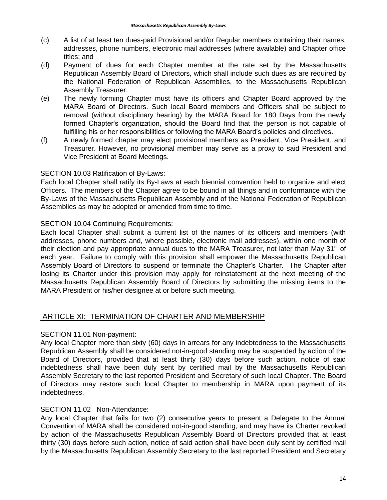- (c) A list of at least ten dues-paid Provisional and/or Regular members containing their names, addresses, phone numbers, electronic mail addresses (where available) and Chapter office titles; and
- (d) Payment of dues for each Chapter member at the rate set by the Massachusetts Republican Assembly Board of Directors, which shall include such dues as are required by the National Federation of Republican Assemblies, to the Massachusetts Republican Assembly Treasurer.
- (e) The newly forming Chapter must have its officers and Chapter Board approved by the MARA Board of Directors. Such local Board members and Officers shall be subject to removal (without disciplinary hearing) by the MARA Board for 180 Days from the newly formed Chapter's organization, should the Board find that the person is not capable of fulfilling his or her responsibilities or following the MARA Board's policies and directives.
- (f) A newly formed chapter may elect provisional members as President, Vice President, and Treasurer. However, no provisional member may serve as a proxy to said President and Vice President at Board Meetings.

## SECTION 10.03 Ratification of By-Laws:

Each local Chapter shall ratify its By-Laws at each biennial convention held to organize and elect Officers. The members of the Chapter agree to be bound in all things and in conformance with the By-Laws of the Massachusetts Republican Assembly and of the National Federation of Republican Assemblies as may be adopted or amended from time to time.

## SECTION 10.04 Continuing Requirements:

Each local Chapter shall submit a current list of the names of its officers and members (with addresses, phone numbers and, where possible, electronic mail addresses), within one month of their election and pay appropriate annual dues to the MARA Treasurer, not later than May  $31<sup>st</sup>$  of each year. Failure to comply with this provision shall empower the Massachusetts Republican Assembly Board of Directors to suspend or terminate the Chapter's Charter. The Chapter after losing its Charter under this provision may apply for reinstatement at the next meeting of the Massachusetts Republican Assembly Board of Directors by submitting the missing items to the MARA President or his/her designee at or before such meeting.

## ARTICLE XI: TERMINATION OF CHARTER AND MEMBERSHIP

#### SECTION 11.01 Non-payment:

Any local Chapter more than sixty (60) days in arrears for any indebtedness to the Massachusetts Republican Assembly shall be considered not-in-good standing may be suspended by action of the Board of Directors, provided that at least thirty (30) days before such action, notice of said indebtedness shall have been duly sent by certified mail by the Massachusetts Republican Assembly Secretary to the last reported President and Secretary of such local Chapter. The Board of Directors may restore such local Chapter to membership in MARA upon payment of its indebtedness.

## SECTION 11.02 Non-Attendance:

Any local Chapter that fails for two (2) consecutive years to present a Delegate to the Annual Convention of MARA shall be considered not-in-good standing, and may have its Charter revoked by action of the Massachusetts Republican Assembly Board of Directors provided that at least thirty (30) days before such action, notice of said action shall have been duly sent by certified mail by the Massachusetts Republican Assembly Secretary to the last reported President and Secretary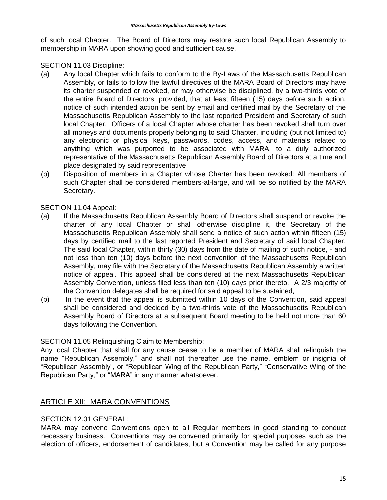of such local Chapter. The Board of Directors may restore such local Republican Assembly to membership in MARA upon showing good and sufficient cause.

#### SECTION 11.03 Discipline:

- (a) Any local Chapter which fails to conform to the By-Laws of the Massachusetts Republican Assembly, or fails to follow the lawful directives of the MARA Board of Directors may have its charter suspended or revoked, or may otherwise be disciplined, by a two-thirds vote of the entire Board of Directors; provided, that at least fifteen (15) days before such action, notice of such intended action be sent by email and certified mail by the Secretary of the Massachusetts Republican Assembly to the last reported President and Secretary of such local Chapter. Officers of a local Chapter whose charter has been revoked shall turn over all moneys and documents properly belonging to said Chapter, including (but not limited to) any electronic or physical keys, passwords, codes, access, and materials related to anything which was purported to be associated with MARA, to a duly authorized representative of the Massachusetts Republican Assembly Board of Directors at a time and place designated by said representative
- (b) Disposition of members in a Chapter whose Charter has been revoked: All members of such Chapter shall be considered members-at-large, and will be so notified by the MARA Secretary.

SECTION 11.04 Appeal:

- (a) If the Massachusetts Republican Assembly Board of Directors shall suspend or revoke the charter of any local Chapter or shall otherwise discipline it, the Secretary of the Massachusetts Republican Assembly shall send a notice of such action within fifteen (15) days by certified mail to the last reported President and Secretary of said local Chapter. The said local Chapter, within thirty (30) days from the date of mailing of such notice, - and not less than ten (10) days before the next convention of the Massachusetts Republican Assembly, may file with the Secretary of the Massachusetts Republican Assembly a written notice of appeal. This appeal shall be considered at the next Massachusetts Republican Assembly Convention, unless filed less than ten (10) days prior thereto. A 2/3 majority of the Convention delegates shall be required for said appeal to be sustained,
- (b) In the event that the appeal is submitted within 10 days of the Convention, said appeal shall be considered and decided by a two-thirds vote of the Massachusetts Republican Assembly Board of Directors at a subsequent Board meeting to be held not more than 60 days following the Convention.

## SECTION 11.05 Relinquishing Claim to Membership:

Any local Chapter that shall for any cause cease to be a member of MARA shall relinquish the name "Republican Assembly," and shall not thereafter use the name, emblem or insignia of "Republican Assembly", or "Republican Wing of the Republican Party," "Conservative Wing of the Republican Party," or "MARA" in any manner whatsoever.

## ARTICLE XII: MARA CONVENTIONS

## SECTION 12.01 GENERAL:

MARA may convene Conventions open to all Regular members in good standing to conduct necessary business. Conventions may be convened primarily for special purposes such as the election of officers, endorsement of candidates, but a Convention may be called for any purpose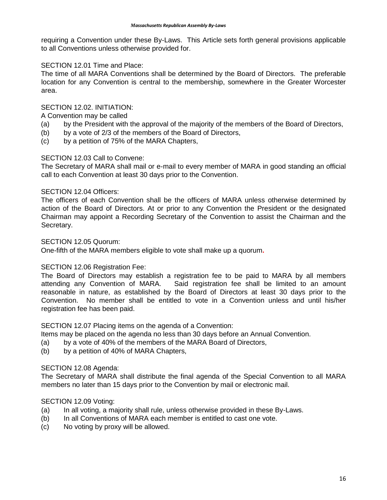requiring a Convention under these By-Laws. This Article sets forth general provisions applicable to all Conventions unless otherwise provided for.

## SECTION 12.01 Time and Place:

The time of all MARA Conventions shall be determined by the Board of Directors. The preferable location for any Convention is central to the membership, somewhere in the Greater Worcester area.

## SECTION 12.02. INITIATION:

A Convention may be called

- (a) by the President with the approval of the majority of the members of the Board of Directors,
- (b) by a vote of 2/3 of the members of the Board of Directors,
- (c) by a petition of 75% of the MARA Chapters,

## SECTION 12.03 Call to Convene:

The Secretary of MARA shall mail or e-mail to every member of MARA in good standing an official call to each Convention at least 30 days prior to the Convention.

## SECTION 12.04 Officers:

The officers of each Convention shall be the officers of MARA unless otherwise determined by action of the Board of Directors. At or prior to any Convention the President or the designated Chairman may appoint a Recording Secretary of the Convention to assist the Chairman and the Secretary.

#### SECTION 12.05 Quorum:

One-fifth of the MARA members eligible to vote shall make up a quorum**.**

#### SECTION 12.06 Registration Fee:

The Board of Directors may establish a registration fee to be paid to MARA by all members attending any Convention of MARA. Said registration fee shall be limited to an amount reasonable in nature, as established by the Board of Directors at least 30 days prior to the Convention. No member shall be entitled to vote in a Convention unless and until his/her registration fee has been paid.

SECTION 12.07 Placing items on the agenda of a Convention:

Items may be placed on the agenda no less than 30 days before an Annual Convention.

- (a) by a vote of 40% of the members of the MARA Board of Directors,
- (b) by a petition of 40% of MARA Chapters,

## SECTION 12.08 Agenda:

The Secretary of MARA shall distribute the final agenda of the Special Convention to all MARA members no later than 15 days prior to the Convention by mail or electronic mail.

#### SECTION 12.09 Voting:

- (a) In all voting, a majority shall rule, unless otherwise provided in these By-Laws.
- (b) In all Conventions of MARA each member is entitled to cast one vote.
- (c) No voting by proxy will be allowed.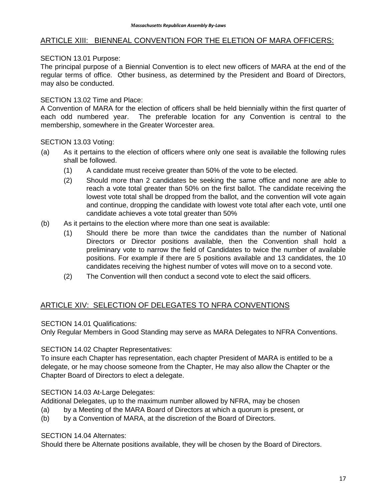## ARTICLE XIII: BIENNEAL CONVENTION FOR THE ELETION OF MARA OFFICERS:

## SECTION 13.01 Purpose:

The principal purpose of a Biennial Convention is to elect new officers of MARA at the end of the regular terms of office. Other business, as determined by the President and Board of Directors, may also be conducted.

## SECTION 13.02 Time and Place:

A Convention of MARA for the election of officers shall be held biennially within the first quarter of each odd numbered year. The preferable location for any Convention is central to the membership, somewhere in the Greater Worcester area.

SECTION 13.03 Voting:

- (a) As it pertains to the election of officers where only one seat is available the following rules shall be followed.
	- (1) A candidate must receive greater than 50% of the vote to be elected.
	- (2) Should more than 2 candidates be seeking the same office and none are able to reach a vote total greater than 50% on the first ballot. The candidate receiving the lowest vote total shall be dropped from the ballot, and the convention will vote again and continue, dropping the candidate with lowest vote total after each vote, until one candidate achieves a vote total greater than 50%
- (b) As it pertains to the election where more than one seat is available:
	- (1) Should there be more than twice the candidates than the number of National Directors or Director positions available, then the Convention shall hold a preliminary vote to narrow the field of Candidates to twice the number of available positions. For example if there are 5 positions available and 13 candidates, the 10 candidates receiving the highest number of votes will move on to a second vote.
	- (2) The Convention will then conduct a second vote to elect the said officers.

## ARTICLE XIV: SELECTION OF DELEGATES TO NFRA CONVENTIONS

SECTION 14.01 Qualifications:

Only Regular Members in Good Standing may serve as MARA Delegates to NFRA Conventions.

SECTION 14.02 Chapter Representatives:

To insure each Chapter has representation, each chapter President of MARA is entitled to be a delegate, or he may choose someone from the Chapter, He may also allow the Chapter or the Chapter Board of Directors to elect a delegate.

SECTION 14.03 At-Large Delegates:

Additional Delegates, up to the maximum number allowed by NFRA, may be chosen

- (a) by a Meeting of the MARA Board of Directors at which a quorum is present, or
- (b) by a Convention of MARA, at the discretion of the Board of Directors.

#### SECTION 14.04 Alternates:

Should there be Alternate positions available, they will be chosen by the Board of Directors.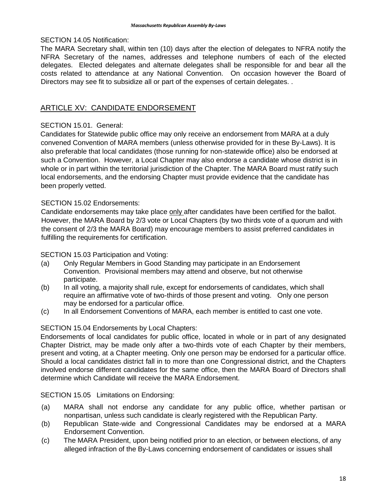#### SECTION 14.05 Notification:

The MARA Secretary shall, within ten (10) days after the election of delegates to NFRA notify the NFRA Secretary of the names, addresses and telephone numbers of each of the elected delegates. Elected delegates and alternate delegates shall be responsible for and bear all the costs related to attendance at any National Convention. On occasion however the Board of Directors may see fit to subsidize all or part of the expenses of certain delegates. .

## ARTICLE XV: CANDIDATE ENDORSEMENT

## SECTION 15.01. General:

Candidates for Statewide public office may only receive an endorsement from MARA at a duly convened Convention of MARA members (unless otherwise provided for in these By-Laws). It is also preferable that local candidates (those running for non-statewide office) also be endorsed at such a Convention. However, a Local Chapter may also endorse a candidate whose district is in whole or in part within the territorial jurisdiction of the Chapter. The MARA Board must ratify such local endorsements, and the endorsing Chapter must provide evidence that the candidate has been properly vetted.

## SECTION 15.02 Endorsements:

Candidate endorsements may take place only after candidates have been certified for the ballot. However, the MARA Board by 2/3 vote or Local Chapters (by two thirds vote of a quorum and with the consent of 2/3 the MARA Board) may encourage members to assist preferred candidates in fulfilling the requirements for certification.

#### SECTION 15.03 Participation and Voting:

- (a) Only Regular Members in Good Standing may participate in an Endorsement Convention. Provisional members may attend and observe, but not otherwise participate.
- (b) In all voting, a majority shall rule, except for endorsements of candidates, which shall require an affirmative vote of two-thirds of those present and voting. Only one person may be endorsed for a particular office.
- (c) In all Endorsement Conventions of MARA, each member is entitled to cast one vote.

#### SECTION 15.04 Endorsements by Local Chapters:

Endorsements of local candidates for public office, located in whole or in part of any designated Chapter District, may be made only after a two-thirds vote of each Chapter by their members, present and voting, at a Chapter meeting. Only one person may be endorsed for a particular office. Should a local candidates district fall in to more than one Congressional district, and the Chapters involved endorse different candidates for the same office, then the MARA Board of Directors shall determine which Candidate will receive the MARA Endorsement.

#### SECTION 15.05 Limitations on Endorsing:

- (a) MARA shall not endorse any candidate for any public office, whether partisan or nonpartisan, unless such candidate is clearly registered with the Republican Party.
- (b) Republican State-wide and Congressional Candidates may be endorsed at a MARA Endorsement Convention.
- (c) The MARA President, upon being notified prior to an election, or between elections, of any alleged infraction of the By-Laws concerning endorsement of candidates or issues shall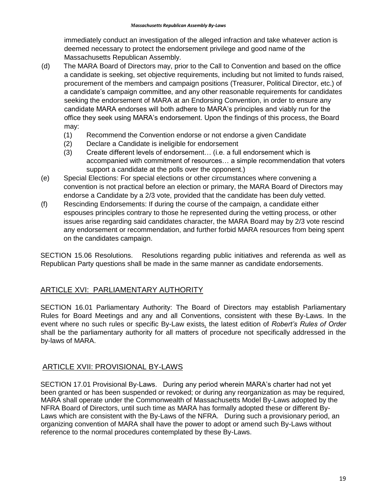immediately conduct an investigation of the alleged infraction and take whatever action is deemed necessary to protect the endorsement privilege and good name of the Massachusetts Republican Assembly.

- (d) The MARA Board of Directors may, prior to the Call to Convention and based on the office a candidate is seeking, set objective requirements, including but not limited to funds raised, procurement of the members and campaign positions (Treasurer, Political Director, etc.) of a candidate's campaign committee, and any other reasonable requirements for candidates seeking the endorsement of MARA at an Endorsing Convention, in order to ensure any candidate MARA endorses will both adhere to MARA's principles and viably run for the office they seek using MARA's endorsement. Upon the findings of this process, the Board may:
	- (1) Recommend the Convention endorse or not endorse a given Candidate
	- (2) Declare a Candidate is ineligible for endorsement
	- (3) Create different levels of endorsement… (i.e. a full endorsement which is accompanied with commitment of resources… a simple recommendation that voters support a candidate at the polls over the opponent.)
- (e) Special Elections: For special elections or other circumstances where convening a convention is not practical before an election or primary, the MARA Board of Directors may endorse a Candidate by a 2/3 vote, provided that the candidate has been duly vetted.
- (f) Rescinding Endorsements: If during the course of the campaign, a candidate either espouses principles contrary to those he represented during the vetting process, or other issues arise regarding said candidates character, the MARA Board may by 2/3 vote rescind any endorsement or recommendation, and further forbid MARA resources from being spent on the candidates campaign.

SECTION 15.06 Resolutions. Resolutions regarding public initiatives and referenda as well as Republican Party questions shall be made in the same manner as candidate endorsements.

## ARTICLE XVI: PARLIAMENTARY AUTHORITY

SECTION 16.01 Parliamentary Authority: The Board of Directors may establish Parliamentary Rules for Board Meetings and any and all Conventions, consistent with these By-Laws. In the event where no such rules or specific By-Law exists*,* the latest edition of *Robert's Rules of Order*  shall be the parliamentary authority for all matters of procedure not specifically addressed in the by-laws of MARA.

# ARTICLE XVII: PROVISIONAL BY-LAWS

SECTION 17.01 Provisional By-Laws. During any period wherein MARA's charter had not yet been granted or has been suspended or revoked; or during any reorganization as may be required, MARA shall operate under the Commonwealth of Massachusetts Model By-Laws adopted by the NFRA Board of Directors, until such time as MARA has formally adopted these or different By-Laws which are consistent with the By-Laws of the NFRA. During such a provisionary period, an organizing convention of MARA shall have the power to adopt or amend such By-Laws without reference to the normal procedures contemplated by these By-Laws.